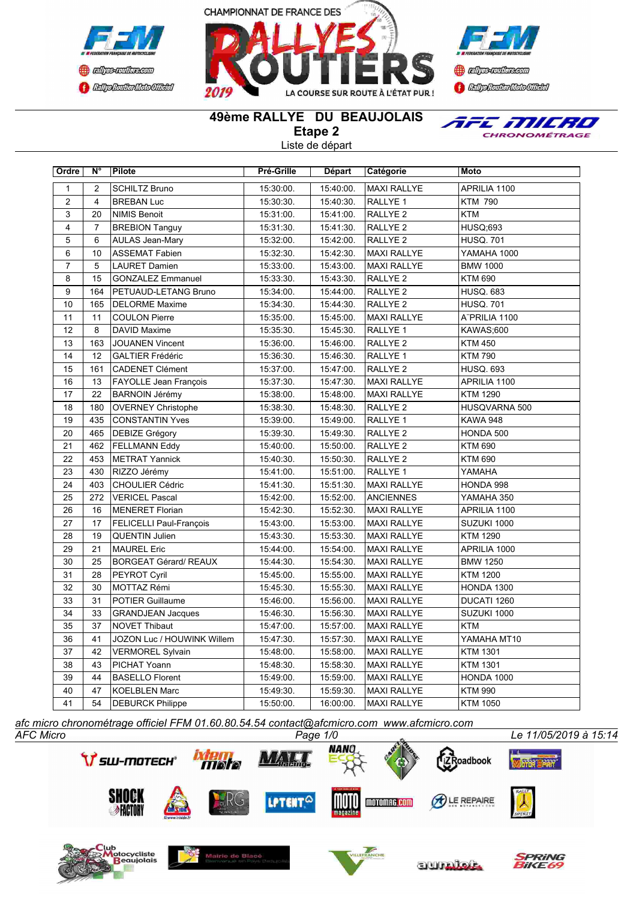





## **49ème RALLYE DU BEAUJOLAIS**

**Etape 2**

Liste de départ



| Ordre            | N°             | Pilote                         | Pré-Grille | Départ    | Catégorie           | Moto             |
|------------------|----------------|--------------------------------|------------|-----------|---------------------|------------------|
| $\mathbf{1}$     | 2              | <b>SCHILTZ Bruno</b>           | 15:30:00.  | 15:40:00. | <b>MAXI RALLYE</b>  | APRILIA 1100     |
| $\overline{2}$   | $\overline{4}$ | <b>BREBAN Luc</b>              | 15:30:30.  | 15:40:30. | RALLYE 1            | <b>KTM 790</b>   |
| 3                | 20             | <b>NIMIS Benoit</b>            | 15:31:00.  | 15:41:00. | RALLYE <sub>2</sub> | <b>KTM</b>       |
| 4                | $\overline{7}$ | <b>BREBION Tanguy</b>          | 15:31:30.  | 15:41:30. | RALLYE <sub>2</sub> | <b>HUSQ;693</b>  |
| 5                | 6              | <b>AULAS Jean-Mary</b>         | 15:32:00.  | 15:42:00. | RALLYE <sub>2</sub> | <b>HUSQ. 701</b> |
| 6                | 10             | <b>ASSEMAT Fabien</b>          | 15:32:30.  | 15:42:30. | <b>MAXI RALLYE</b>  | YAMAHA 1000      |
| $\overline{7}$   | 5              | <b>LAURET Damien</b>           | 15:33:00.  | 15:43:00. | <b>MAXI RALLYE</b>  | <b>BMW 1000</b>  |
| 8                | 15             | <b>GONZALEZ Emmanuel</b>       | 15:33:30.  | 15:43:30. | <b>RALLYE 2</b>     | <b>KTM 690</b>   |
| $\boldsymbol{9}$ | 164            | PETUAUD-LETANG Bruno           | 15:34:00.  | 15:44:00. | RALLYE <sub>2</sub> | <b>HUSQ. 683</b> |
| 10               | 165            | <b>DELORME Maxime</b>          | 15:34:30.  | 15:44:30. | RALLYE <sub>2</sub> | <b>HUSQ. 701</b> |
| 11               | 11             | <b>COULON Pierre</b>           | 15:35:00.  | 15:45:00. | <b>MAXI RALLYE</b>  | ATPRILIA 1100    |
| 12               | 8              | <b>DAVID Maxime</b>            | 15:35:30.  | 15:45:30. | RALLYE 1            | KAWAS;600        |
| 13               | 163            | <b>JOUANEN Vincent</b>         | 15:36:00.  | 15:46:00. | RALLYE <sub>2</sub> | <b>KTM 450</b>   |
| 14               | 12             | <b>GALTIER Frédéric</b>        | 15:36:30.  | 15:46:30. | RALLYE 1            | <b>KTM 790</b>   |
| 15               | 161            | <b>CADENET Clément</b>         | 15:37:00.  | 15:47:00. | RALLYE <sub>2</sub> | <b>HUSQ. 693</b> |
| 16               | 13             | FAYOLLE Jean François          | 15:37:30.  | 15:47:30. | <b>MAXI RALLYE</b>  | APRILIA 1100     |
| 17               | 22             | <b>BARNOIN Jérémy</b>          | 15:38:00.  | 15:48:00. | <b>MAXI RALLYE</b>  | <b>KTM 1290</b>  |
| 18               | 180            | <b>OVERNEY Christophe</b>      | 15:38:30.  | 15:48:30. | RALLYE <sub>2</sub> | HUSQVARNA 500    |
| 19               | 435            | <b>CONSTANTIN Yves</b>         | 15:39:00.  | 15:49:00. | RALLYE 1            | <b>KAWA 948</b>  |
| 20               | 465            | DEBIZE Grégory                 | 15:39:30.  | 15:49:30. | <b>RALLYE 2</b>     | HONDA 500        |
| 21               | 462            | <b>FELLMANN Eddy</b>           | 15:40:00.  | 15:50:00. | RALLYE <sub>2</sub> | <b>KTM 690</b>   |
| 22               | 453            | <b>METRAT Yannick</b>          | 15:40:30.  | 15:50:30. | RALLYE <sub>2</sub> | <b>KTM 690</b>   |
| 23               | 430            | RIZZO Jérémy                   | 15:41:00.  | 15:51:00. | RALLYE 1            | YAMAHA           |
| 24               | 403            | <b>CHOULIER Cédric</b>         | 15:41:30.  | 15:51:30. | <b>MAXI RALLYE</b>  | HONDA 998        |
| 25               | 272            | <b>VERICEL Pascal</b>          | 15:42:00.  | 15:52:00. | <b>ANCIENNES</b>    | YAMAHA 350       |
| 26               | 16             | <b>MENERET Florian</b>         | 15:42:30.  | 15:52:30. | <b>MAXI RALLYE</b>  | APRILIA 1100     |
| 27               | 17             | <b>FELICELLI Paul-François</b> | 15:43:00.  | 15:53:00. | <b>MAXI RALLYE</b>  | SUZUKI 1000      |
| 28               | 19             | <b>QUENTIN Julien</b>          | 15:43:30.  | 15:53:30. | <b>MAXI RALLYE</b>  | <b>KTM 1290</b>  |
| 29               | 21             | <b>MAUREL Eric</b>             | 15:44:00.  | 15:54:00. | <b>MAXI RALLYE</b>  | APRILIA 1000     |
| 30               | 25             | <b>BORGEAT Gérard/ REAUX</b>   | 15:44:30.  | 15:54:30. | <b>MAXI RALLYE</b>  | <b>BMW 1250</b>  |
| 31               | 28             | PEYROT Cyril                   | 15:45:00.  | 15:55:00. | <b>MAXI RALLYE</b>  | <b>KTM 1200</b>  |
| 32               | 30             | MOTTAZ Rémi                    | 15:45:30.  | 15:55:30. | <b>MAXI RALLYE</b>  | HONDA 1300       |
| 33               | 31             | <b>POTIER Guillaume</b>        | 15:46:00.  | 15:56:00. | <b>MAXI RALLYE</b>  | DUCATI 1260      |
| 34               | 33             | <b>GRANDJEAN Jacques</b>       | 15:46:30.  | 15:56:30. | <b>MAXI RALLYE</b>  | SUZUKI 1000      |
| 35               | 37             | <b>NOVET Thibaut</b>           | 15:47:00.  | 15:57:00. | <b>MAXI RALLYE</b>  | <b>KTM</b>       |
| 36               | 41             | JOZON Luc / HOUWINK Willem     | 15:47:30.  | 15:57:30. | <b>MAXI RALLYE</b>  | YAMAHA MT10      |
| 37               | 42             | <b>VERMOREL Sylvain</b>        | 15:48:00.  | 15:58:00. | <b>MAXI RALLYE</b>  | <b>KTM 1301</b>  |
| 38               | 43             | PICHAT Yoann                   | 15:48:30.  | 15:58:30. | <b>MAXI RALLYE</b>  | <b>KTM 1301</b>  |
| 39               | 44             | <b>BASELLO Florent</b>         | 15:49:00.  | 15:59:00. | <b>MAXI RALLYE</b>  | HONDA 1000       |
| 40               | 47             | <b>KOELBLEN Marc</b>           | 15:49:30.  | 15:59:30. | <b>MAXI RALLYE</b>  | <b>KTM 990</b>   |
| 41               | 54             | <b>DEBURCK Philippe</b>        | 15:50:00.  | 16:00:00. | <b>MAXI RALLYE</b>  | <b>KTM 1050</b>  |

*AFC Micro Page 1/0 Le 11/05/2019 à 15:14 afc micro chronométrage officiel FFM 01.60.80.54.54 contact@afcmicro.com www.afcmicro.com*

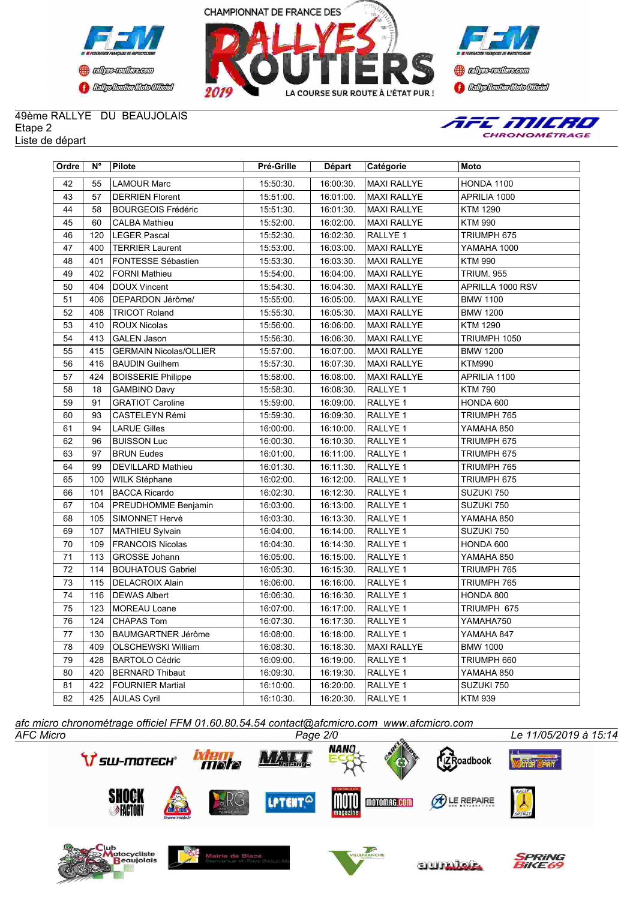





## 49ème RALLYE DU BEAUJOLAIS Etape 2 Liste de départ



| Ordre           | N°  | Pilote                        | Pré-Grille | Départ    | Catégorie          | Moto              |
|-----------------|-----|-------------------------------|------------|-----------|--------------------|-------------------|
| 42              | 55  | <b>LAMOUR Marc</b>            | 15:50:30.  | 16:00:30. | <b>MAXI RALLYE</b> | <b>HONDA 1100</b> |
| 43              | 57  | <b>DERRIEN Florent</b>        | 15:51:00.  | 16:01:00. | <b>MAXI RALLYE</b> | APRILIA 1000      |
| 44              | 58  | <b>BOURGEOIS Frédéric</b>     | 15:51:30.  | 16:01:30. | <b>MAXI RALLYE</b> | <b>KTM 1290</b>   |
| 45              | 60  | <b>CALBA Mathieu</b>          | 15:52:00.  | 16:02:00. | <b>MAXI RALLYE</b> | <b>KTM 990</b>    |
| 46              | 120 | <b>LEGER Pascal</b>           | 15:52:30.  | 16:02:30. | RALLYE 1           | TRIUMPH 675       |
| 47              | 400 | <b>TERRIER Laurent</b>        | 15:53:00.  | 16:03:00. | <b>MAXI RALLYE</b> | YAMAHA 1000       |
| 48              | 401 | FONTESSE Sébastien            | 15:53:30.  | 16:03:30. | <b>MAXI RALLYE</b> | <b>KTM 990</b>    |
| 49              | 402 | <b>FORNI Mathieu</b>          | 15:54:00.  | 16:04:00. | <b>MAXI RALLYE</b> | <b>TRIUM. 955</b> |
| 50              | 404 | <b>DOUX Vincent</b>           | 15:54:30.  | 16:04:30. | <b>MAXI RALLYE</b> | APRILLA 1000 RSV  |
| 51              | 406 | DEPARDON Jérôme/              | 15:55:00.  | 16:05:00. | <b>MAXI RALLYE</b> | <b>BMW 1100</b>   |
| 52              | 408 | <b>TRICOT Roland</b>          | 15:55:30.  | 16:05:30. | <b>MAXI RALLYE</b> | <b>BMW 1200</b>   |
| 53              | 410 | <b>ROUX Nicolas</b>           | 15:56:00.  | 16:06:00. | <b>MAXI RALLYE</b> | <b>KTM 1290</b>   |
| 54              | 413 | <b>GALEN Jason</b>            | 15:56:30.  | 16:06:30. | <b>MAXI RALLYE</b> | TRIUMPH 1050      |
| 55              | 415 | <b>GERMAIN Nicolas/OLLIER</b> | 15:57:00.  | 16:07:00. | <b>MAXI RALLYE</b> | <b>BMW 1200</b>   |
| 56              | 416 | <b>BAUDIN Guilhem</b>         | 15:57:30.  | 16:07:30. | <b>MAXI RALLYE</b> | <b>KTM990</b>     |
| 57              | 424 | <b>BOISSERIE Philippe</b>     | 15:58:00.  | 16:08:00. | <b>MAXI RALLYE</b> | APRILIA 1100      |
| 58              | 18  | <b>GAMBINO Davy</b>           | 15:58:30.  | 16:08:30. | RALLYE 1           | <b>KTM 790</b>    |
| 59              | 91  | <b>GRATIOT Caroline</b>       | 15:59:00.  | 16:09:00. | RALLYE 1           | HONDA 600         |
| 60              | 93  | CASTELEYN Rémi                | 15:59:30.  | 16:09:30. | RALLYE 1           | TRIUMPH 765       |
| 61              | 94  | <b>LARUE Gilles</b>           | 16:00:00.  | 16:10:00. | RALLYE 1           | YAMAHA 850        |
| 62              | 96  | <b>BUISSON Luc</b>            | 16:00:30.  | 16:10:30. | RALLYE 1           | TRIUMPH 675       |
| 63              | 97  | <b>BRUN Eudes</b>             | 16:01:00.  | 16:11:00. | RALLYE 1           | TRIUMPH 675       |
| 64              | 99  | <b>DEVILLARD Mathieu</b>      | 16:01:30.  | 16:11:30. | RALLYE 1           | TRIUMPH 765       |
| 65              | 100 | WILK Stéphane                 | 16:02:00.  | 16:12:00. | RALLYE 1           | TRIUMPH 675       |
| 66              | 101 | <b>BACCA Ricardo</b>          | 16:02:30.  | 16:12:30. | RALLYE 1           | SUZUKI 750        |
| 67              | 104 | PREUDHOMME Benjamin           | 16:03:00.  | 16:13:00. | RALLYE 1           | SUZUKI 750        |
| 68              | 105 | SIMONNET Hervé                | 16:03:30.  | 16:13:30. | RALLYE 1           | YAMAHA 850        |
| 69              | 107 | MATHIEU Sylvain               | 16:04:00.  | 16:14:00. | RALLYE 1           | SUZUKI 750        |
| 70              | 109 | <b>FRANCOIS Nicolas</b>       | 16:04:30.  | 16:14:30. | RALLYE 1           | HONDA 600         |
| 71              | 113 | <b>GROSSE Johann</b>          | 16:05:00.  | 16:15:00. | RALLYE 1           | YAMAHA 850        |
| 72              | 114 | <b>BOUHATOUS Gabriel</b>      | 16:05:30.  | 16:15:30. | RALLYE 1           | TRIUMPH 765       |
| 73              | 115 | <b>DELACROIX Alain</b>        | 16:06:00.  | 16:16:00. | RALLYE 1           | TRIUMPH 765       |
| $\overline{74}$ | 116 | <b>DEWAS Albert</b>           | 16:06:30.  | 16:16:30. | RALLYE 1           | HONDA 800         |
| 75              | 123 | <b>MOREAU Loane</b>           | 16:07:00.  | 16:17:00. | RALLYE 1           | TRIUMPH 675       |
| 76              | 124 | <b>CHAPAS Tom</b>             | 16:07:30.  | 16:17:30. | RALLYE 1           | YAMAHA750         |
| 77              | 130 | <b>BAUMGARTNER Jérôme</b>     | 16:08:00.  | 16:18:00. | RALLYE 1           | YAMAHA 847        |
| 78              | 409 | OLSCHEWSKI William            | 16:08:30.  | 16:18:30. | <b>MAXI RALLYE</b> | <b>BMW 1000</b>   |
| 79              | 428 | <b>BARTOLO Cédric</b>         | 16:09:00.  | 16:19:00. | RALLYE 1           | TRIUMPH 660       |
| 80              | 420 | <b>BERNARD Thibaut</b>        | 16:09:30.  | 16:19:30. | RALLYE 1           | YAMAHA 850        |
| 81              | 422 | FOURNIER Martial              | 16:10:00.  | 16:20:00. | RALLYE 1           | SUZUKI 750        |
| 82              |     | 425 AULAS Cyril               | 16:10:30.  | 16:20:30. | RALLYE 1           | <b>KTM 939</b>    |

*AFC Micro Page 2/0 Le 11/05/2019 à 15:14 afc micro chronométrage officiel FFM 01.60.80.54.54 contact@afcmicro.com www.afcmicro.com*

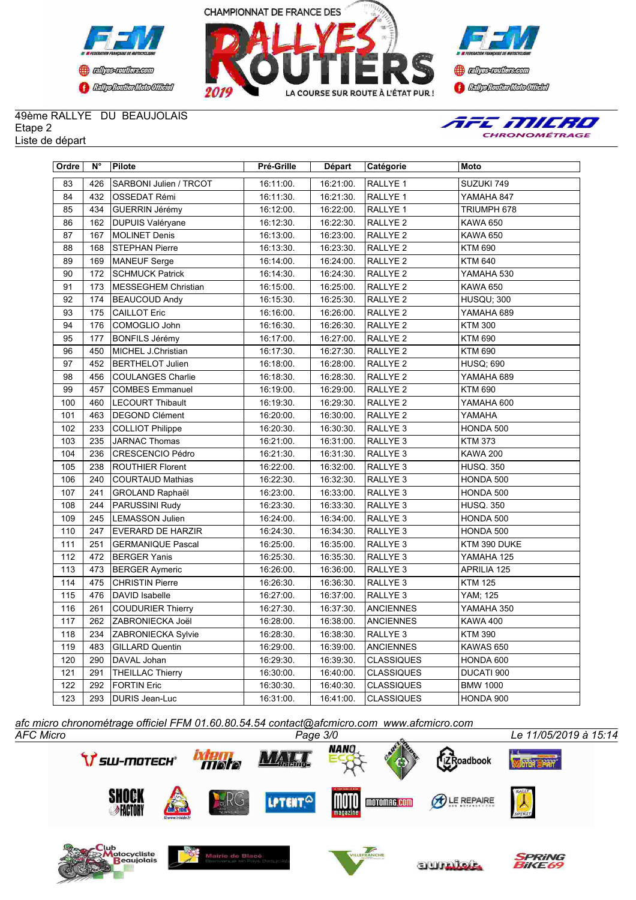





## 49ème RALLYE DU BEAUJOLAIS Etape 2 Liste de départ



| Ordre | $N^{\circ}$ | Pilote                   | Pré-Grille | Départ    | <b>Catégorie</b>    | Moto               |
|-------|-------------|--------------------------|------------|-----------|---------------------|--------------------|
| 83    | 426         | SARBONI Julien / TRCOT   | 16:11:00.  | 16:21:00. | RALLYE <sub>1</sub> | SUZUKI 749         |
| 84    | 432         | OSSEDAT Rémi             | 16:11:30.  | 16:21:30. | RALLYE 1            | YAMAHA 847         |
| 85    | 434         | <b>GUERRIN Jérémy</b>    | 16:12:00.  | 16:22:00. | RALLYE 1            | TRIUMPH 678        |
| 86    | 162         | DUPUIS Valéryane         | 16:12:30.  | 16:22:30. | RALLYE <sub>2</sub> | <b>KAWA 650</b>    |
| 87    | 167         | <b>MOLINET Denis</b>     | 16:13:00.  | 16:23:00. | RALLYE <sub>2</sub> | <b>KAWA 650</b>    |
| 88    | 168         | <b>STEPHAN Pierre</b>    | 16:13:30.  | 16:23:30. | RALLYE <sub>2</sub> | <b>KTM 690</b>     |
| 89    | 169         | MANEUF Serge             | 16:14:00.  | 16:24:00. | RALLYE <sub>2</sub> | <b>KTM 640</b>     |
| 90    | 172         | <b>SCHMUCK Patrick</b>   | 16:14:30.  | 16:24:30. | RALLYE <sub>2</sub> | YAMAHA 530         |
| 91    | 173         | MESSEGHEM Christian      | 16:15:00.  | 16:25:00. | RALLYE <sub>2</sub> | <b>KAWA 650</b>    |
| 92    | 174         | <b>BEAUCOUD Andy</b>     | 16:15:30.  | 16:25:30. | RALLYE <sub>2</sub> | <b>HUSQU; 300</b>  |
| 93    | 175         | <b>CAILLOT Eric</b>      | 16:16:00.  | 16:26:00. | RALLYE <sub>2</sub> | YAMAHA 689         |
| 94    | 176         | COMOGLIO John            | 16:16:30.  | 16:26:30. | RALLYE <sub>2</sub> | <b>KTM 300</b>     |
| 95    | 177         | <b>BONFILS Jérémy</b>    | 16:17:00.  | 16:27:00. | RALLYE <sub>2</sub> | <b>KTM 690</b>     |
| 96    | 450         | MICHEL J.Christian       | 16:17:30.  | 16:27:30. | RALLYE <sub>2</sub> | <b>KTM 690</b>     |
| 97    | 452         | <b>BERTHELOT Julien</b>  | 16:18:00.  | 16:28:00. | RALLYE <sub>2</sub> | <b>HUSQ; 690</b>   |
| 98    | 456         | <b>COULANGES Charlie</b> | 16:18:30.  | 16:28:30. | RALLYE <sub>2</sub> | YAMAHA 689         |
| 99    | 457         | <b>COMBES Emmanuel</b>   | 16:19:00.  | 16:29:00. | RALLYE <sub>2</sub> | <b>KTM 690</b>     |
| 100   | 460         | <b>LECOURT Thibault</b>  | 16:19:30.  | 16:29:30. | RALLYE <sub>2</sub> | YAMAHA 600         |
| 101   | 463         | <b>DEGOND Clément</b>    | 16:20:00.  | 16:30:00. | RALLYE <sub>2</sub> | YAMAHA             |
| 102   | 233         | <b>COLLIOT Philippe</b>  | 16:20:30.  | 16:30:30. | RALLYE <sub>3</sub> | HONDA 500          |
| 103   | 235         | <b>JARNAC Thomas</b>     | 16:21:00.  | 16:31:00. | RALLYE <sub>3</sub> | <b>KTM 373</b>     |
| 104   | 236         | CRESCENCIO Pédro         | 16:21:30.  | 16:31:30. | RALLYE <sub>3</sub> | <b>KAWA 200</b>    |
| 105   | 238         | <b>ROUTHIER Florent</b>  | 16:22:00.  | 16:32:00. | RALLYE <sub>3</sub> | <b>HUSQ. 350</b>   |
| 106   | 240         | <b>COURTAUD Mathias</b>  | 16:22:30.  | 16:32:30. | RALLYE <sub>3</sub> | HONDA 500          |
| 107   | 241         | <b>GROLAND Raphaël</b>   | 16:23:00.  | 16:33:00. | RALLYE <sub>3</sub> | HONDA 500          |
| 108   | 244         | PARUSSINI Rudy           | 16:23:30.  | 16:33:30. | RALLYE <sub>3</sub> | <b>HUSQ. 350</b>   |
| 109   | 245         | <b>LEMASSON Julien</b>   | 16:24:00.  | 16:34:00. | RALLYE <sub>3</sub> | HONDA 500          |
| 110   | 247         | <b>EVERARD DE HARZIR</b> | 16:24:30.  | 16:34:30. | RALLYE <sub>3</sub> | HONDA 500          |
| 111   | 251         | <b>GERMANIQUE Pascal</b> | 16:25:00.  | 16:35:00. | RALLYE <sub>3</sub> | KTM 390 DUKE       |
| 112   | 472         | <b>BERGER Yanis</b>      | 16:25:30.  | 16:35:30. | RALLYE 3            | YAMAHA 125         |
| 113   | 473         | <b>BERGER Aymeric</b>    | 16:26:00.  | 16:36:00. | RALLYE <sub>3</sub> | <b>APRILIA 125</b> |
| 114   | 475         | <b>CHRISTIN Pierre</b>   | 16:26:30.  | 16:36:30. | RALLYE <sub>3</sub> | <b>KTM 125</b>     |
| 115   | 476         | DAVID Isabelle           | 16:27:00.  | 16:37:00. | RALLYE <sub>3</sub> | YAM; 125           |
| 116   | 261         | <b>COUDURIER Thierry</b> | 16:27:30.  | 16:37:30. | <b>ANCIENNES</b>    | YAMAHA 350         |
| 117   | 262         | ZABRONIECKA Joël         | 16:28:00.  | 16:38:00. | <b>ANCIENNES</b>    | <b>KAWA 400</b>    |
| 118   | 234         | ZABRONIECKA Sylvie       | 16:28:30.  | 16:38:30. | RALLYE <sub>3</sub> | <b>KTM 390</b>     |
| 119   | 483         | <b>GILLARD Quentin</b>   | 16:29:00.  | 16:39:00. | <b>ANCIENNES</b>    | KAWAS 650          |
| 120   | 290         | DAVAL Johan              | 16:29:30.  | 16:39:30. | <b>CLASSIQUES</b>   | HONDA 600          |
| 121   | 291         | <b>THEILLAC Thierry</b>  | 16:30:00.  | 16:40:00. | <b>CLASSIQUES</b>   | DUCATI 900         |
| 122   | 292         | <b>FORTIN Eric</b>       | 16:30:30.  | 16:40:30. | <b>CLASSIQUES</b>   | <b>BMW 1000</b>    |
| 123   |             | 293   DURIS Jean-Luc     | 16:31:00.  | 16:41:00. | <b>CLASSIQUES</b>   | HONDA 900          |

*AFC Micro Page 3/0 Le 11/05/2019 à 15:14 afc micro chronométrage officiel FFM 01.60.80.54.54 contact@afcmicro.com www.afcmicro.com*